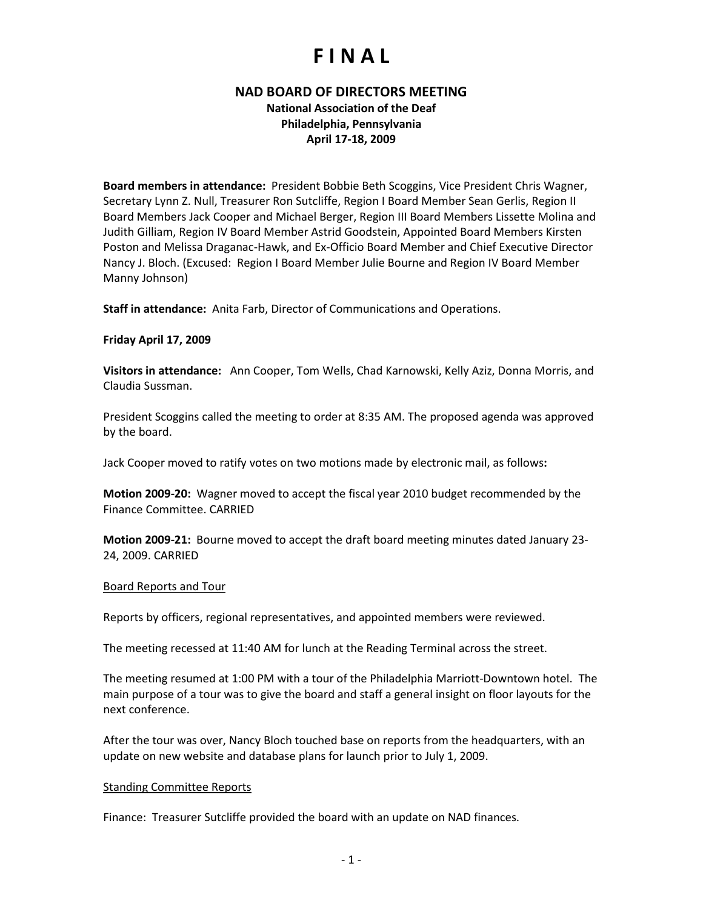## **F I N A L**

### **NAD BOARD OF DIRECTORS MEETING**

**National Association of the Deaf Philadelphia, Pennsylvania April 17-18, 2009**

**Board members in attendance:** President Bobbie Beth Scoggins, Vice President Chris Wagner, Secretary Lynn Z. Null, Treasurer Ron Sutcliffe, Region I Board Member Sean Gerlis, Region II Board Members Jack Cooper and Michael Berger, Region III Board Members Lissette Molina and Judith Gilliam, Region IV Board Member Astrid Goodstein, Appointed Board Members Kirsten Poston and Melissa Draganac-Hawk, and Ex-Officio Board Member and Chief Executive Director Nancy J. Bloch. (Excused: Region I Board Member Julie Bourne and Region IV Board Member Manny Johnson)

**Staff in attendance:** Anita Farb, Director of Communications and Operations.

#### **Friday April 17, 2009**

**Visitors in attendance:** Ann Cooper, Tom Wells, Chad Karnowski, Kelly Aziz, Donna Morris, and Claudia Sussman.

President Scoggins called the meeting to order at 8:35 AM. The proposed agenda was approved by the board.

Jack Cooper moved to ratify votes on two motions made by electronic mail, as follows**:**

**Motion 2009-20:** Wagner moved to accept the fiscal year 2010 budget recommended by the Finance Committee. CARRIED

**Motion 2009-21:** Bourne moved to accept the draft board meeting minutes dated January 23- 24, 2009. CARRIED

#### Board Reports and Tour

Reports by officers, regional representatives, and appointed members were reviewed.

The meeting recessed at 11:40 AM for lunch at the Reading Terminal across the street.

The meeting resumed at 1:00 PM with a tour of the Philadelphia Marriott-Downtown hotel. The main purpose of a tour was to give the board and staff a general insight on floor layouts for the next conference.

After the tour was over, Nancy Bloch touched base on reports from the headquarters, with an update on new website and database plans for launch prior to July 1, 2009.

#### Standing Committee Reports

Finance: Treasurer Sutcliffe provided the board with an update on NAD finances.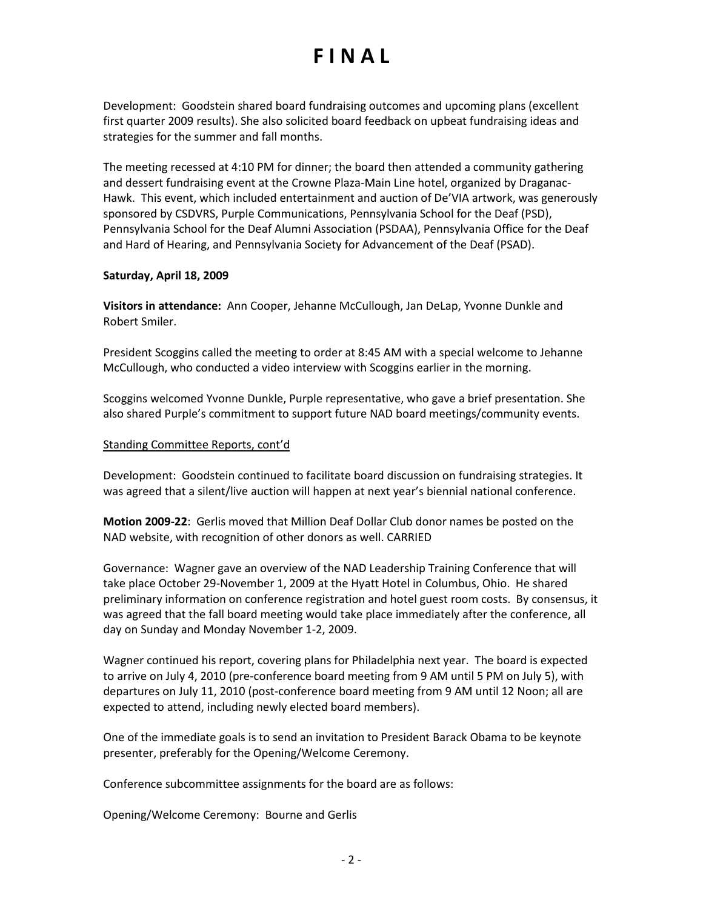# **F I N A L**

Development: Goodstein shared board fundraising outcomes and upcoming plans (excellent first quarter 2009 results). She also solicited board feedback on upbeat fundraising ideas and strategies for the summer and fall months.

The meeting recessed at 4:10 PM for dinner; the board then attended a community gathering and dessert fundraising event at the Crowne Plaza-Main Line hotel, organized by Draganac-Hawk. This event, which included entertainment and auction of De'VIA artwork, was generously sponsored by CSDVRS, Purple Communications, Pennsylvania School for the Deaf (PSD), Pennsylvania School for the Deaf Alumni Association (PSDAA), Pennsylvania Office for the Deaf and Hard of Hearing, and Pennsylvania Society for Advancement of the Deaf (PSAD).

#### **Saturday, April 18, 2009**

**Visitors in attendance:** Ann Cooper, Jehanne McCullough, Jan DeLap, Yvonne Dunkle and Robert Smiler.

President Scoggins called the meeting to order at 8:45 AM with a special welcome to Jehanne McCullough, who conducted a video interview with Scoggins earlier in the morning.

Scoggins welcomed Yvonne Dunkle, Purple representative, who gave a brief presentation. She also shared Purple's commitment to support future NAD board meetings/community events.

### Standing Committee Reports, cont'd

Development: Goodstein continued to facilitate board discussion on fundraising strategies. It was agreed that a silent/live auction will happen at next year's biennial national conference.

**Motion 2009-22**: Gerlis moved that Million Deaf Dollar Club donor names be posted on the NAD website, with recognition of other donors as well. CARRIED

Governance: Wagner gave an overview of the NAD Leadership Training Conference that will take place October 29-November 1, 2009 at the Hyatt Hotel in Columbus, Ohio. He shared preliminary information on conference registration and hotel guest room costs. By consensus, it was agreed that the fall board meeting would take place immediately after the conference, all day on Sunday and Monday November 1-2, 2009.

Wagner continued his report, covering plans for Philadelphia next year. The board is expected to arrive on July 4, 2010 (pre-conference board meeting from 9 AM until 5 PM on July 5), with departures on July 11, 2010 (post-conference board meeting from 9 AM until 12 Noon; all are expected to attend, including newly elected board members).

One of the immediate goals is to send an invitation to President Barack Obama to be keynote presenter, preferably for the Opening/Welcome Ceremony.

Conference subcommittee assignments for the board are as follows:

Opening/Welcome Ceremony: Bourne and Gerlis